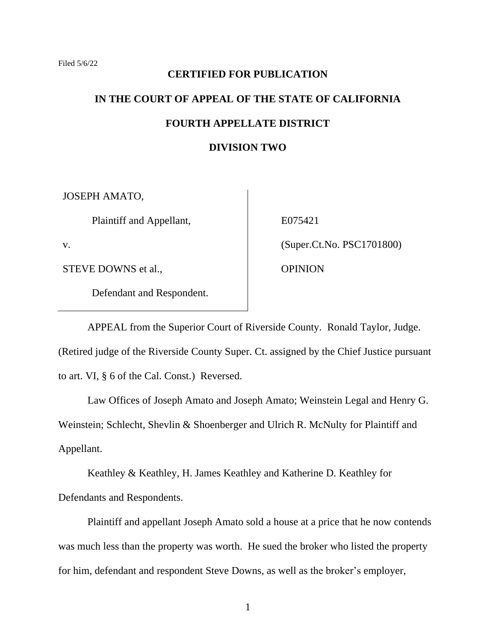## **CERTIFIED FOR PUBLICATION**

# **IN THE COURT OF APPEAL OF THE STATE OF CALIFORNIA FOURTH APPELLATE DISTRICT DIVISION TWO**

JOSEPH AMATO,

Plaintiff and Appellant,

v.

STEVE DOWNS et al.,

Defendant and Respondent.

E075421 (Super.Ct.No. PSC1701800) **OPINION** 

APPEAL from the Superior Court of Riverside County. Ronald Taylor, Judge. (Retired judge of the Riverside County Super. Ct. assigned by the Chief Justice pursuant to art. VI, § 6 of the Cal. Const.) Reversed.

Law Offices of Joseph Amato and Joseph Amato; Weinstein Legal and Henry G. Weinstein; Schlecht, Shevlin & Shoenberger and Ulrich R. McNulty for Plaintiff and Appellant.

Keathley & Keathley, H. James Keathley and Katherine D. Keathley for Defendants and Respondents.

Plaintiff and appellant Joseph Amato sold a house at a price that he now contends was much less than the property was worth. He sued the broker who listed the property for him, defendant and respondent Steve Downs, as well as the broker's employer,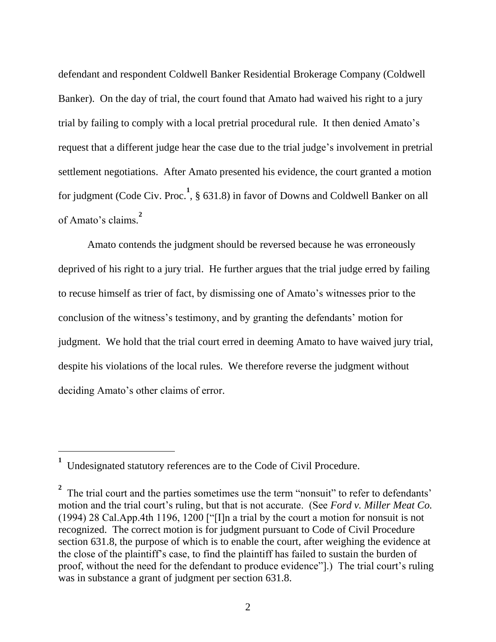defendant and respondent Coldwell Banker Residential Brokerage Company (Coldwell Banker). On the day of trial, the court found that Amato had waived his right to a jury trial by failing to comply with a local pretrial procedural rule. It then denied Amato's request that a different judge hear the case due to the trial judge's involvement in pretrial settlement negotiations. After Amato presented his evidence, the court granted a motion for judgment (Code Civ. Proc.<sup>1</sup>, § 631.8) in favor of Downs and Coldwell Banker on all of Amato's claims. **2**

Amato contends the judgment should be reversed because he was erroneously deprived of his right to a jury trial. He further argues that the trial judge erred by failing to recuse himself as trier of fact, by dismissing one of Amato's witnesses prior to the conclusion of the witness's testimony, and by granting the defendants' motion for judgment. We hold that the trial court erred in deeming Amato to have waived jury trial, despite his violations of the local rules. We therefore reverse the judgment without deciding Amato's other claims of error.

**<sup>1</sup>** Undesignated statutory references are to the Code of Civil Procedure.

<sup>&</sup>lt;sup>2</sup> The trial court and the parties sometimes use the term "nonsuit" to refer to defendants' motion and the trial court's ruling, but that is not accurate. (See *Ford v. Miller Meat Co.* (1994) 28 Cal.App.4th 1196, 1200 ["[I]n a trial by the court a motion for nonsuit is not recognized. The correct motion is for judgment pursuant to Code of Civil Procedure section 631.8, the purpose of which is to enable the court, after weighing the evidence at the close of the plaintiff's case, to find the plaintiff has failed to sustain the burden of proof, without the need for the defendant to produce evidence"].) The trial court's ruling was in substance a grant of judgment per section 631.8.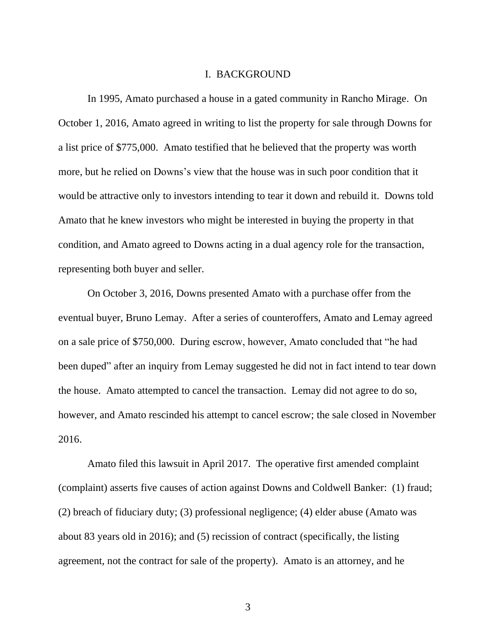#### I. BACKGROUND

In 1995, Amato purchased a house in a gated community in Rancho Mirage. On October 1, 2016, Amato agreed in writing to list the property for sale through Downs for a list price of \$775,000. Amato testified that he believed that the property was worth more, but he relied on Downs's view that the house was in such poor condition that it would be attractive only to investors intending to tear it down and rebuild it. Downs told Amato that he knew investors who might be interested in buying the property in that condition, and Amato agreed to Downs acting in a dual agency role for the transaction, representing both buyer and seller.

On October 3, 2016, Downs presented Amato with a purchase offer from the eventual buyer, Bruno Lemay. After a series of counteroffers, Amato and Lemay agreed on a sale price of \$750,000. During escrow, however, Amato concluded that "he had been duped" after an inquiry from Lemay suggested he did not in fact intend to tear down the house. Amato attempted to cancel the transaction. Lemay did not agree to do so, however, and Amato rescinded his attempt to cancel escrow; the sale closed in November 2016.

Amato filed this lawsuit in April 2017. The operative first amended complaint (complaint) asserts five causes of action against Downs and Coldwell Banker: (1) fraud; (2) breach of fiduciary duty; (3) professional negligence; (4) elder abuse (Amato was about 83 years old in 2016); and (5) recission of contract (specifically, the listing agreement, not the contract for sale of the property). Amato is an attorney, and he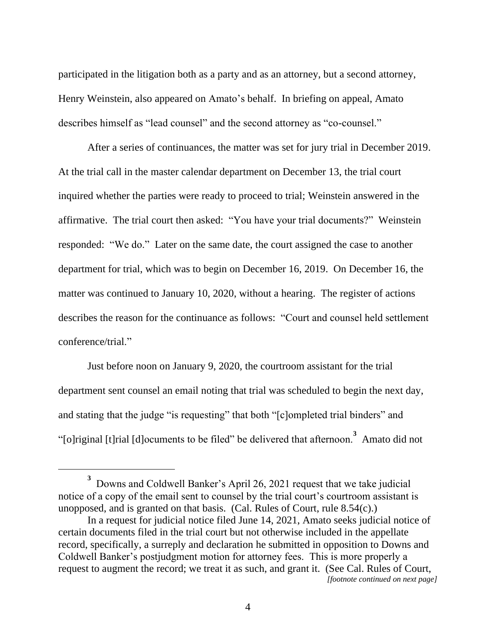participated in the litigation both as a party and as an attorney, but a second attorney, Henry Weinstein, also appeared on Amato's behalf. In briefing on appeal, Amato describes himself as "lead counsel" and the second attorney as "co-counsel."

After a series of continuances, the matter was set for jury trial in December 2019. At the trial call in the master calendar department on December 13, the trial court inquired whether the parties were ready to proceed to trial; Weinstein answered in the affirmative. The trial court then asked: "You have your trial documents?" Weinstein responded: "We do." Later on the same date, the court assigned the case to another department for trial, which was to begin on December 16, 2019. On December 16, the matter was continued to January 10, 2020, without a hearing. The register of actions describes the reason for the continuance as follows: "Court and counsel held settlement conference/trial."

Just before noon on January 9, 2020, the courtroom assistant for the trial department sent counsel an email noting that trial was scheduled to begin the next day, and stating that the judge "is requesting" that both "[c]ompleted trial binders" and "[o]riginal [t]rial [d]ocuments to be filed" be delivered that afternoon.**<sup>3</sup>** Amato did not

**<sup>3</sup>** Downs and Coldwell Banker's April 26, 2021 request that we take judicial notice of a copy of the email sent to counsel by the trial court's courtroom assistant is unopposed, and is granted on that basis. (Cal. Rules of Court, rule 8.54(c).)

In a request for judicial notice filed June 14, 2021, Amato seeks judicial notice of certain documents filed in the trial court but not otherwise included in the appellate record, specifically, a surreply and declaration he submitted in opposition to Downs and Coldwell Banker's postjudgment motion for attorney fees. This is more properly a request to augment the record; we treat it as such, and grant it. (See Cal. Rules of Court,

*<sup>[</sup>footnote continued on next page]*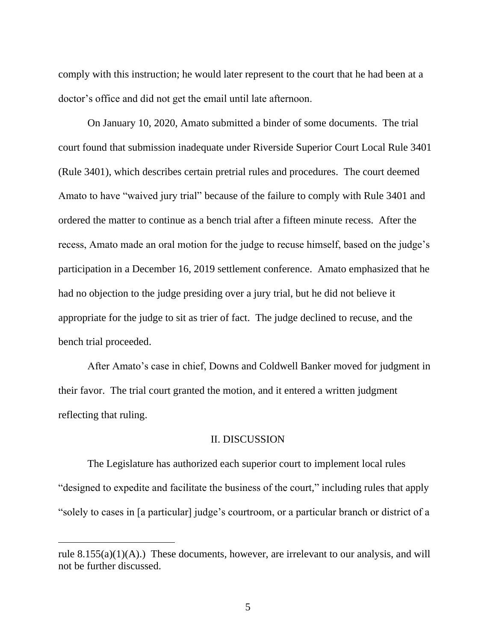comply with this instruction; he would later represent to the court that he had been at a doctor's office and did not get the email until late afternoon.

On January 10, 2020, Amato submitted a binder of some documents. The trial court found that submission inadequate under Riverside Superior Court Local Rule 3401 (Rule 3401), which describes certain pretrial rules and procedures. The court deemed Amato to have "waived jury trial" because of the failure to comply with Rule 3401 and ordered the matter to continue as a bench trial after a fifteen minute recess. After the recess, Amato made an oral motion for the judge to recuse himself, based on the judge's participation in a December 16, 2019 settlement conference. Amato emphasized that he had no objection to the judge presiding over a jury trial, but he did not believe it appropriate for the judge to sit as trier of fact. The judge declined to recuse, and the bench trial proceeded.

After Amato's case in chief, Downs and Coldwell Banker moved for judgment in their favor. The trial court granted the motion, and it entered a written judgment reflecting that ruling.

#### II. DISCUSSION

The Legislature has authorized each superior court to implement local rules "designed to expedite and facilitate the business of the court," including rules that apply "solely to cases in [a particular] judge's courtroom, or a particular branch or district of a

rule  $8.155(a)(1)(A)$ .) These documents, however, are irrelevant to our analysis, and will not be further discussed.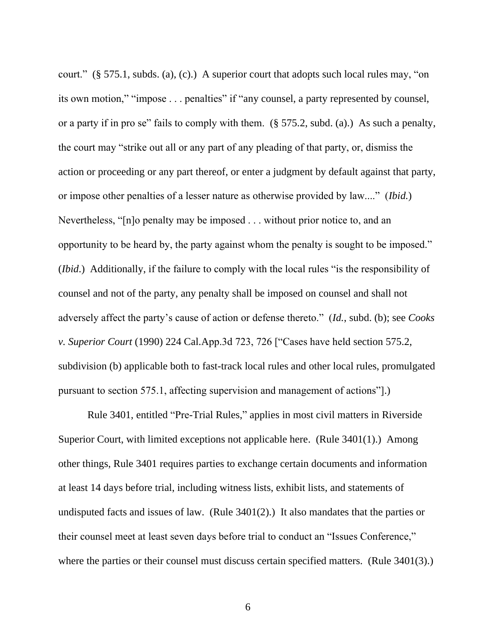court." (§ 575.1, subds. (a), (c).) A superior court that adopts such local rules may, "on its own motion," "impose . . . penalties" if "any counsel, a party represented by counsel, or a party if in pro se" fails to comply with them. (§ 575.2, subd. (a).) As such a penalty, the court may "strike out all or any part of any pleading of that party, or, dismiss the action or proceeding or any part thereof, or enter a judgment by default against that party, or impose other penalties of a lesser nature as otherwise provided by law...." (*Ibid.*) Nevertheless, "[n]o penalty may be imposed . . . without prior notice to, and an opportunity to be heard by, the party against whom the penalty is sought to be imposed." (*Ibid*.) Additionally, if the failure to comply with the local rules "is the responsibility of counsel and not of the party, any penalty shall be imposed on counsel and shall not adversely affect the party's cause of action or defense thereto." (*Id.*, subd. (b); see *Cooks v. Superior Court* (1990) 224 Cal.App.3d 723, 726 ["Cases have held section 575.2, subdivision (b) applicable both to fast-track local rules and other local rules, promulgated pursuant to section 575.1, affecting supervision and management of actions"].)

Rule 3401, entitled "Pre-Trial Rules," applies in most civil matters in Riverside Superior Court, with limited exceptions not applicable here. (Rule 3401(1).) Among other things, Rule 3401 requires parties to exchange certain documents and information at least 14 days before trial, including witness lists, exhibit lists, and statements of undisputed facts and issues of law. (Rule 3401(2).) It also mandates that the parties or their counsel meet at least seven days before trial to conduct an "Issues Conference," where the parties or their counsel must discuss certain specified matters. (Rule 3401(3).)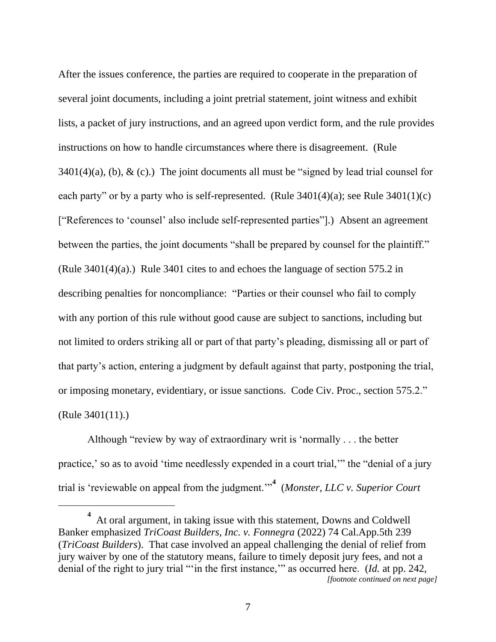After the issues conference, the parties are required to cooperate in the preparation of several joint documents, including a joint pretrial statement, joint witness and exhibit lists, a packet of jury instructions, and an agreed upon verdict form, and the rule provides instructions on how to handle circumstances where there is disagreement. (Rule  $3401(4)(a)$ , (b), & (c).) The joint documents all must be "signed by lead trial counsel for each party" or by a party who is self-represented. (Rule  $3401(4)(a)$ ; see Rule  $3401(1)(c)$ ) ["References to 'counsel' also include self-represented parties"].) Absent an agreement between the parties, the joint documents "shall be prepared by counsel for the plaintiff." (Rule 3401(4)(a).) Rule 3401 cites to and echoes the language of section 575.2 in describing penalties for noncompliance: "Parties or their counsel who fail to comply with any portion of this rule without good cause are subject to sanctions, including but not limited to orders striking all or part of that party's pleading, dismissing all or part of that party's action, entering a judgment by default against that party, postponing the trial, or imposing monetary, evidentiary, or issue sanctions. Code Civ. Proc., section 575.2." (Rule 3401(11).)

Although "review by way of extraordinary writ is 'normally . . . the better practice,' so as to avoid 'time needlessly expended in a court trial,'" the "denial of a jury trial is 'reviewable on appeal from the judgment.'"**<sup>4</sup>** (*Monster, LLC v. Superior Court*

**<sup>4</sup>** At oral argument, in taking issue with this statement, Downs and Coldwell Banker emphasized *TriCoast Builders, Inc. v. Fonnegra* (2022) 74 Cal.App.5th 239 (*TriCoast Builders*). That case involved an appeal challenging the denial of relief from jury waiver by one of the statutory means, failure to timely deposit jury fees, and not a denial of the right to jury trial "'in the first instance,'" as occurred here. (*Id.* at pp. 242, *[footnote continued on next page]*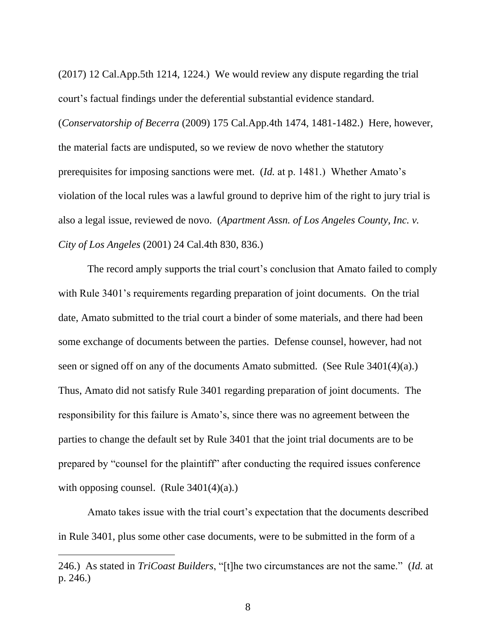(2017) 12 Cal.App.5th 1214, 1224.) We would review any dispute regarding the trial court's factual findings under the deferential substantial evidence standard. (*Conservatorship of Becerra* (2009) 175 Cal.App.4th 1474, 1481-1482.) Here, however, the material facts are undisputed, so we review de novo whether the statutory prerequisites for imposing sanctions were met. (*Id.* at p. 1481.) Whether Amato's violation of the local rules was a lawful ground to deprive him of the right to jury trial is also a legal issue, reviewed de novo. (*Apartment Assn. of Los Angeles County, Inc. v. City of Los Angeles* (2001) 24 Cal.4th 830, 836.)

The record amply supports the trial court's conclusion that Amato failed to comply with Rule 3401's requirements regarding preparation of joint documents. On the trial date, Amato submitted to the trial court a binder of some materials, and there had been some exchange of documents between the parties. Defense counsel, however, had not seen or signed off on any of the documents Amato submitted. (See Rule 3401(4)(a).) Thus, Amato did not satisfy Rule 3401 regarding preparation of joint documents. The responsibility for this failure is Amato's, since there was no agreement between the parties to change the default set by Rule 3401 that the joint trial documents are to be prepared by "counsel for the plaintiff" after conducting the required issues conference with opposing counsel. (Rule  $3401(4)(a)$ .)

Amato takes issue with the trial court's expectation that the documents described in Rule 3401, plus some other case documents, were to be submitted in the form of a

<sup>246.)</sup> As stated in *TriCoast Builders*, "[t]he two circumstances are not the same." (*Id.* at p. 246.)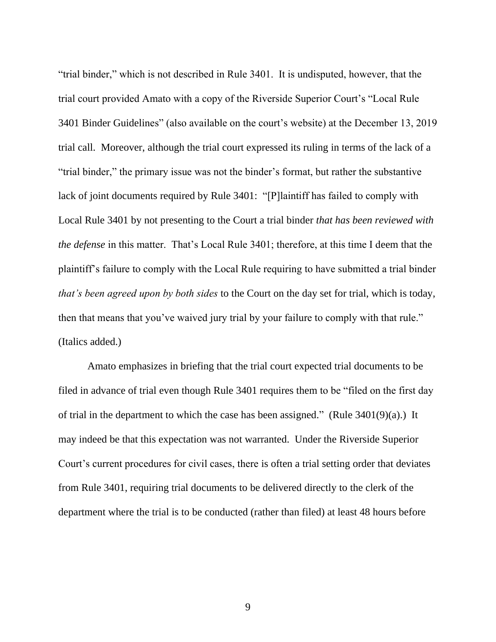"trial binder," which is not described in Rule 3401. It is undisputed, however, that the trial court provided Amato with a copy of the Riverside Superior Court's "Local Rule 3401 Binder Guidelines" (also available on the court's website) at the December 13, 2019 trial call. Moreover, although the trial court expressed its ruling in terms of the lack of a "trial binder," the primary issue was not the binder's format, but rather the substantive lack of joint documents required by Rule 3401: "[P]laintiff has failed to comply with Local Rule 3401 by not presenting to the Court a trial binder *that has been reviewed with the defense* in this matter. That's Local Rule 3401; therefore, at this time I deem that the plaintiff's failure to comply with the Local Rule requiring to have submitted a trial binder *that's been agreed upon by both sides* to the Court on the day set for trial, which is today, then that means that you've waived jury trial by your failure to comply with that rule." (Italics added.)

Amato emphasizes in briefing that the trial court expected trial documents to be filed in advance of trial even though Rule 3401 requires them to be "filed on the first day of trial in the department to which the case has been assigned." (Rule  $3401(9)(a)$ .) It may indeed be that this expectation was not warranted. Under the Riverside Superior Court's current procedures for civil cases, there is often a trial setting order that deviates from Rule 3401, requiring trial documents to be delivered directly to the clerk of the department where the trial is to be conducted (rather than filed) at least 48 hours before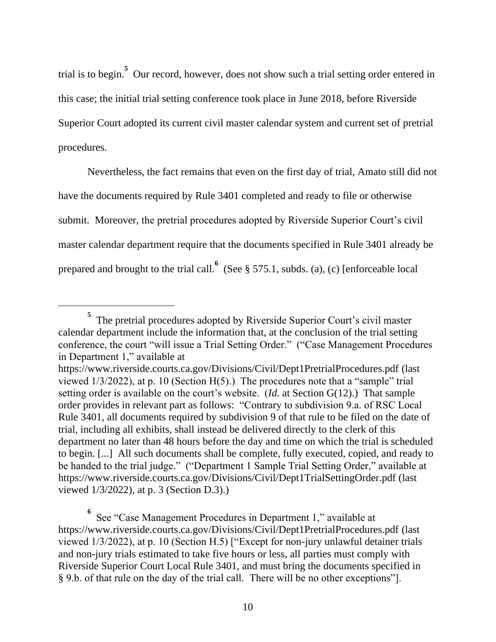trial is to begin.**<sup>5</sup>** Our record, however, does not show such a trial setting order entered in this case; the initial trial setting conference took place in June 2018, before Riverside Superior Court adopted its current civil master calendar system and current set of pretrial procedures.

Nevertheless, the fact remains that even on the first day of trial, Amato still did not have the documents required by Rule 3401 completed and ready to file or otherwise submit. Moreover, the pretrial procedures adopted by Riverside Superior Court's civil master calendar department require that the documents specified in Rule 3401 already be prepared and brought to the trial call.  $\int_{0}^{6}$  (See § 575.1, subds. (a), (c) [enforceable local

**<sup>5</sup>** The pretrial procedures adopted by Riverside Superior Court's civil master calendar department include the information that, at the conclusion of the trial setting conference, the court "will issue a Trial Setting Order." ("Case Management Procedures in Department 1," available at

https://www.riverside.courts.ca.gov/Divisions/Civil/Dept1PretrialProcedures.pdf (last viewed 1/3/2022), at p. 10 (Section H(5).) The procedures note that a "sample" trial setting order is available on the court's website. (*Id.* at Section G(12).) That sample order provides in relevant part as follows: "Contrary to subdivision 9.a. of RSC Local Rule 3401, all documents required by subdivision 9 of that rule to be filed on the date of trial, including all exhibits, shall instead be delivered directly to the clerk of this department no later than 48 hours before the day and time on which the trial is scheduled to begin. [...] All such documents shall be complete, fully executed, copied, and ready to be handed to the trial judge." ("Department 1 Sample Trial Setting Order," available at https://www.riverside.courts.ca.gov/Divisions/Civil/Dept1TrialSettingOrder.pdf (last viewed 1/3/2022), at p. 3 (Section D.3).)

**<sup>6</sup>** See "Case Management Procedures in Department 1," available at https://www.riverside.courts.ca.gov/Divisions/Civil/Dept1PretrialProcedures.pdf (last viewed 1/3/2022), at p. 10 (Section H.5) ["Except for non-jury unlawful detainer trials and non-jury trials estimated to take five hours or less, all parties must comply with Riverside Superior Court Local Rule 3401, and must bring the documents specified in § 9.b. of that rule on the day of the trial call. There will be no other exceptions"].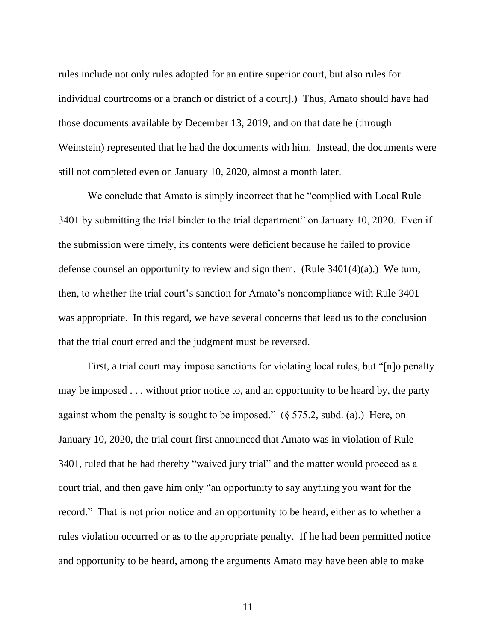rules include not only rules adopted for an entire superior court, but also rules for individual courtrooms or a branch or district of a court].) Thus, Amato should have had those documents available by December 13, 2019, and on that date he (through Weinstein) represented that he had the documents with him. Instead, the documents were still not completed even on January 10, 2020, almost a month later.

We conclude that Amato is simply incorrect that he "complied with Local Rule 3401 by submitting the trial binder to the trial department" on January 10, 2020. Even if the submission were timely, its contents were deficient because he failed to provide defense counsel an opportunity to review and sign them. (Rule  $3401(4)(a)$ .) We turn, then, to whether the trial court's sanction for Amato's noncompliance with Rule 3401 was appropriate. In this regard, we have several concerns that lead us to the conclusion that the trial court erred and the judgment must be reversed.

First, a trial court may impose sanctions for violating local rules, but "[n]o penalty may be imposed . . . without prior notice to, and an opportunity to be heard by, the party against whom the penalty is sought to be imposed." (§ 575.2, subd. (a).) Here, on January 10, 2020, the trial court first announced that Amato was in violation of Rule 3401, ruled that he had thereby "waived jury trial" and the matter would proceed as a court trial, and then gave him only "an opportunity to say anything you want for the record." That is not prior notice and an opportunity to be heard, either as to whether a rules violation occurred or as to the appropriate penalty. If he had been permitted notice and opportunity to be heard, among the arguments Amato may have been able to make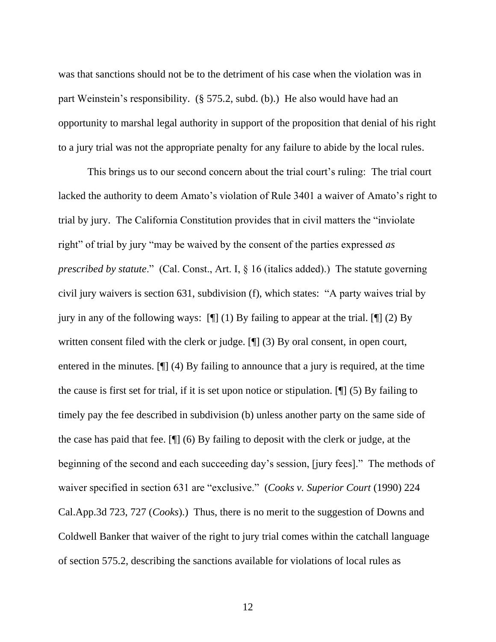was that sanctions should not be to the detriment of his case when the violation was in part Weinstein's responsibility. (§ 575.2, subd. (b).) He also would have had an opportunity to marshal legal authority in support of the proposition that denial of his right to a jury trial was not the appropriate penalty for any failure to abide by the local rules.

This brings us to our second concern about the trial court's ruling: The trial court lacked the authority to deem Amato's violation of Rule 3401 a waiver of Amato's right to trial by jury. The California Constitution provides that in civil matters the "inviolate right" of trial by jury "may be waived by the consent of the parties expressed *as prescribed by statute.*" (Cal. Const., Art. I, § 16 (italics added).) The statute governing civil jury waivers is section 631, subdivision (f), which states: "A party waives trial by jury in any of the following ways:  $[\n\mathcal{F}](1)$  By failing to appear at the trial.  $[\n\mathcal{F}](2)$  By written consent filed with the clerk or judge. [¶] (3) By oral consent, in open court, entered in the minutes. [¶] (4) By failing to announce that a jury is required, at the time the cause is first set for trial, if it is set upon notice or stipulation. [¶] (5) By failing to timely pay the fee described in subdivision (b) unless another party on the same side of the case has paid that fee. [¶] (6) By failing to deposit with the clerk or judge, at the beginning of the second and each succeeding day's session, [jury fees]." The methods of waiver specified in section 631 are "exclusive." (*Cooks v. Superior Court* (1990) 224 Cal.App.3d 723, 727 (*Cooks*).) Thus, there is no merit to the suggestion of Downs and Coldwell Banker that waiver of the right to jury trial comes within the catchall language of section 575.2, describing the sanctions available for violations of local rules as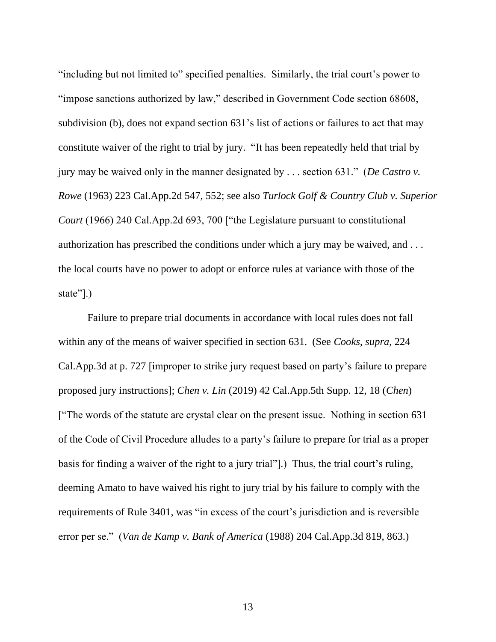"including but not limited to" specified penalties. Similarly, the trial court's power to "impose sanctions authorized by law," described in Government Code section 68608, subdivision (b), does not expand section 631's list of actions or failures to act that may constitute waiver of the right to trial by jury. "It has been repeatedly held that trial by jury may be waived only in the manner designated by . . . section 631." (*De Castro v. Rowe* (1963) 223 Cal.App.2d 547, 552; see also *Turlock Golf & Country Club v. Superior Court* (1966) 240 Cal.App.2d 693, 700 ["the Legislature pursuant to constitutional authorization has prescribed the conditions under which a jury may be waived, and . . . the local courts have no power to adopt or enforce rules at variance with those of the state"[.]

Failure to prepare trial documents in accordance with local rules does not fall within any of the means of waiver specified in section 631. (See *Cooks*, *supra*, 224 Cal.App.3d at p. 727 [improper to strike jury request based on party's failure to prepare proposed jury instructions]; *Chen v. Lin* (2019) 42 Cal.App.5th Supp. 12, 18 (*Chen*) ["The words of the statute are crystal clear on the present issue. Nothing in section 631 of the Code of Civil Procedure alludes to a party's failure to prepare for trial as a proper basis for finding a waiver of the right to a jury trial"].) Thus, the trial court's ruling, deeming Amato to have waived his right to jury trial by his failure to comply with the requirements of Rule 3401, was "in excess of the court's jurisdiction and is reversible error per se." (*Van de Kamp v. Bank of America* (1988) 204 Cal.App.3d 819, 863.)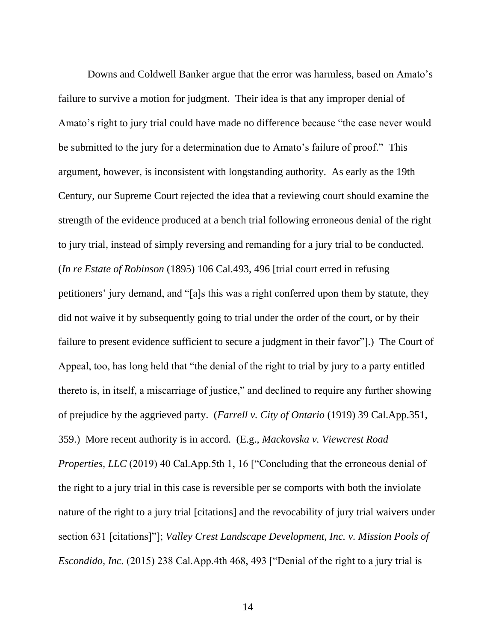Downs and Coldwell Banker argue that the error was harmless, based on Amato's failure to survive a motion for judgment. Their idea is that any improper denial of Amato's right to jury trial could have made no difference because "the case never would be submitted to the jury for a determination due to Amato's failure of proof." This argument, however, is inconsistent with longstanding authority. As early as the 19th Century, our Supreme Court rejected the idea that a reviewing court should examine the strength of the evidence produced at a bench trial following erroneous denial of the right to jury trial, instead of simply reversing and remanding for a jury trial to be conducted. (*In re Estate of Robinson* (1895) 106 Cal.493, 496 [trial court erred in refusing petitioners' jury demand, and "[a]s this was a right conferred upon them by statute, they did not waive it by subsequently going to trial under the order of the court, or by their failure to present evidence sufficient to secure a judgment in their favor"].) The Court of Appeal, too, has long held that "the denial of the right to trial by jury to a party entitled thereto is, in itself, a miscarriage of justice," and declined to require any further showing of prejudice by the aggrieved party. (*Farrell v. City of Ontario* (1919) 39 Cal.App.351, 359.) More recent authority is in accord. (E.g., *Mackovska v. Viewcrest Road Properties, LLC* (2019) 40 Cal.App.5th 1, 16 ["Concluding that the erroneous denial of the right to a jury trial in this case is reversible per se comports with both the inviolate nature of the right to a jury trial [citations] and the revocability of jury trial waivers under section 631 [citations]"]; *Valley Crest Landscape Development, Inc. v. Mission Pools of Escondido, Inc.* (2015) 238 Cal.App.4th 468, 493 ["Denial of the right to a jury trial is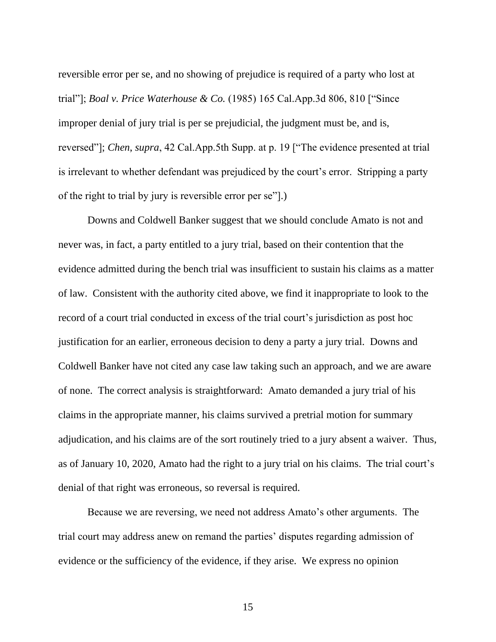reversible error per se, and no showing of prejudice is required of a party who lost at trial"]; *Boal v. Price Waterhouse & Co.* (1985) 165 Cal.App.3d 806, 810 ["Since improper denial of jury trial is per se prejudicial, the judgment must be, and is, reversed"]; *Chen*, *supra*, 42 Cal.App.5th Supp. at p. 19 ["The evidence presented at trial is irrelevant to whether defendant was prejudiced by the court's error. Stripping a party of the right to trial by jury is reversible error per se"].)

Downs and Coldwell Banker suggest that we should conclude Amato is not and never was, in fact, a party entitled to a jury trial, based on their contention that the evidence admitted during the bench trial was insufficient to sustain his claims as a matter of law. Consistent with the authority cited above, we find it inappropriate to look to the record of a court trial conducted in excess of the trial court's jurisdiction as post hoc justification for an earlier, erroneous decision to deny a party a jury trial. Downs and Coldwell Banker have not cited any case law taking such an approach, and we are aware of none. The correct analysis is straightforward: Amato demanded a jury trial of his claims in the appropriate manner, his claims survived a pretrial motion for summary adjudication, and his claims are of the sort routinely tried to a jury absent a waiver. Thus, as of January 10, 2020, Amato had the right to a jury trial on his claims. The trial court's denial of that right was erroneous, so reversal is required.

Because we are reversing, we need not address Amato's other arguments. The trial court may address anew on remand the parties' disputes regarding admission of evidence or the sufficiency of the evidence, if they arise. We express no opinion